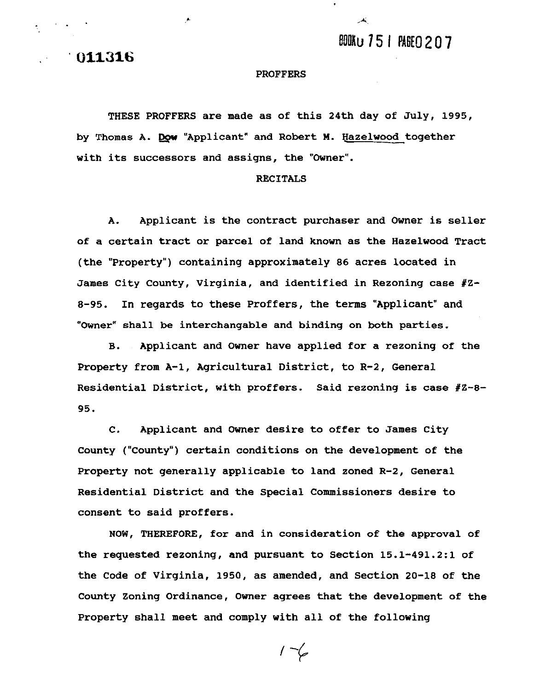BOOKU 751 PAGEO 207

 $\mathbf{A}$ 

**011316** 

### **PROFFERS**

**THESE PROFFERS are made as of this 24th day of July, 1995,**  by Thomas A. Dow "Applicant" and Robert M. Hazelwood together **with its successors and assigns, the "Owner".** 

#### **RECITALS**

**A. Applicant is the contract purchaser and Owner is seller of a certain tract or parcel of land known as the Hazelwood Tract (the "Property") containing approximately 86 acres located in James City County, Virginia, and identified in Rezoning case #Z-8-95. In regards to these Proffers, the terms "Applicant" and "Owner" shall be interchangable and binding on both parties.** 

**B. Applicant and Owner have applied for a rezoning of the Property from A-1, Agricultural District, to R-2, General**  Residential District, with proffers. Said rezoning is case #Z-8-**95.** 

**C. Applicant and Owner desire to offer to James City County ("County") certain conditions on the development of the Property not generally applicable to land zoned R-2, General Residential District and the Special Commissioners desire to consent to said proffers.** 

**NOW, THEREFORE, for and in consideration of the approval of the requested rezoning, and pursuant to Section 15.1-491.2:l of the Code of Virginia, 1950, as amended, and Section 20-18 of the County Zoning Ordinance, Owner agrees that the development of the Property shall meet and comply with all of the following** 

 $1 - 6$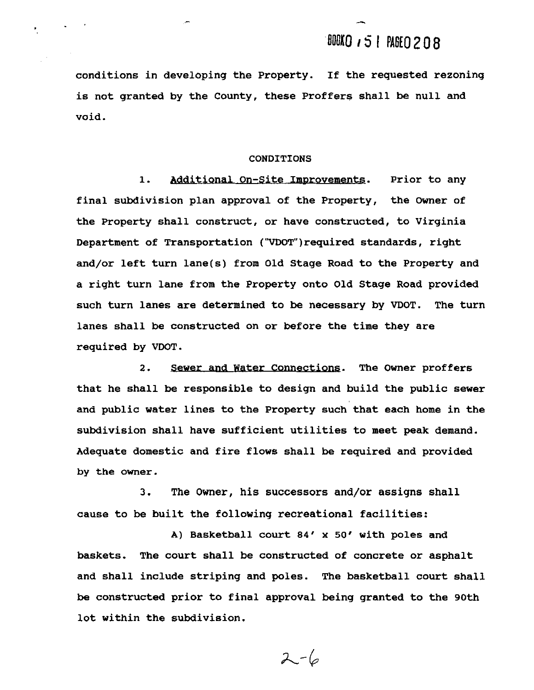**conditions in developing the Property. If the requested rezoning is not granted by the County, these Proffers shall be null and void.** 

#### **CONDITIONS**

. . **1.** 1. **Prior to any final subdivision plan approval of the Property, the Owner of the Property shall construct, or have constructed, to Virginia**  Department of Transportation ("VDOT")required standards, right **and/or left turn lane(s) from Old Stage Road to the Property and a right turn lane from the Property onto Old Stage Road provided such turn lanes are determined to be necessary by VDOT. The turn**  lanes shall be constructed on or before the time they are<br> **2.** Sewer and Water Connections. The Owner proffers **required by VDOT.** 

**that he shall be responsible to design and build the public sewer and public water lines to the Property such that each home in the subdivision shall have sufficient utilities to meet peak demand. Adequate domestic and fire flows shall be required and provided by the owner.** 

**3. The Owner, his successors and/or assigns shall cause to be built the following recreational facilities:** 

**A) Basketball court 84' x 50' with poles and baskets. The court shall be constructed of concrete or asphalt and shall include striping and poles. The basketball court shall be constructed prior to final approval being granted to the 90th lot within the subdivision.** 

 $2 - 6$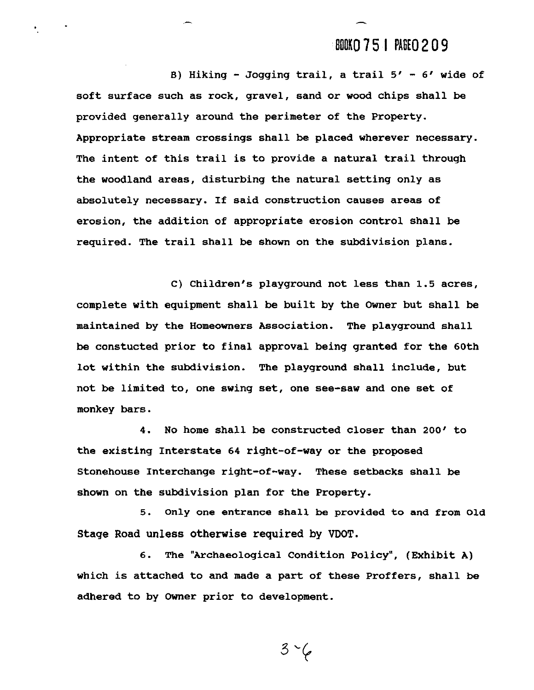## **BOOKO 75 | PAGEO 209**

**8) Hiking** - **Jogging trail, a trail 5'** - **6' wide of soft surface such as rock, gravel, sand or wood chips shall be provided generally around the perimeter of the Property. Appropriate stream crossings shall be placed wherever necessary. The intent of this trail is to provide a natural trail through the woodland areas, disturbing the natural setting only as absolutely necessary. If said construction causes areas of erosion, the addition of appropriate erosion control shall be required. The trail shall be shown on the subdivision plans.** 

C) Children's playground not less than 1.5 acres, **complete with equipment shall be built by the Owner but shall be maintained by the Homeowners Association. The playground shall be constucted prior to final approval being granted for the 60th lot within the subdivision. The playground shall include, but not be limited to, one swing set, one see-saw and one set of monkey bars.** 

**4. No home shall be constructed closer than 200' to the existing Interstate 64 right-of-way or the proposed Stonehouse Interchange right-of-way. These setbacks shall be shown on the subdivision plan for the Property.** 

**5. Only one entrance shall be provided to and from Old**  Stage Road unless otherwise required by VDOT.

**6. The "Archaeological Condition Policy", (Exhibit A) which is attached to and made a part of these Proffers, shall be adhered to by Owner prior to development.** 

 $3 - 6$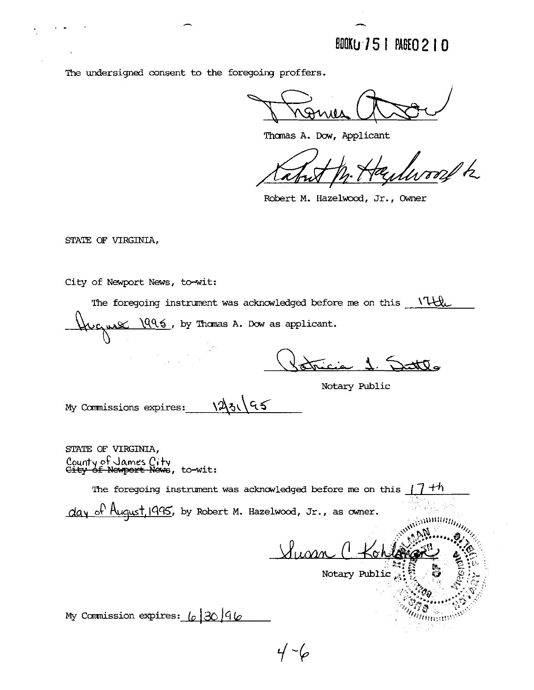BOOKU 751 PAGEO 210

The undersigned consent to the foregoing proffers.

Thomas A. Dow, Applicant

med t

Robert M. Hazelwood, Jr., Owner

STATE OF VIRGINIA,

City of Newport News, to-wit:

The foregoing instrument was acknowledged before me on this \ THL ugus 1996, by Thomas A. Dow as applicant.

 $\Delta$ 

Notary Public

My Commissions expires: 12316

STATE OF VIRGINIA, County of James City<br>City of Newport News, to-wit:

The foregoing instrument was acknowledged before me on this  $\Box$  $+n$ 

 $day$  of  $August$ , 1995, by Robert M. Hazelwood, Jr., as owner.

Vlugan

**Samuun** 

Annuu

Notary Public

My Commission expires:  $\lfloor \rho \rfloor 30 \rfloor 46$ 

 $4 - 6$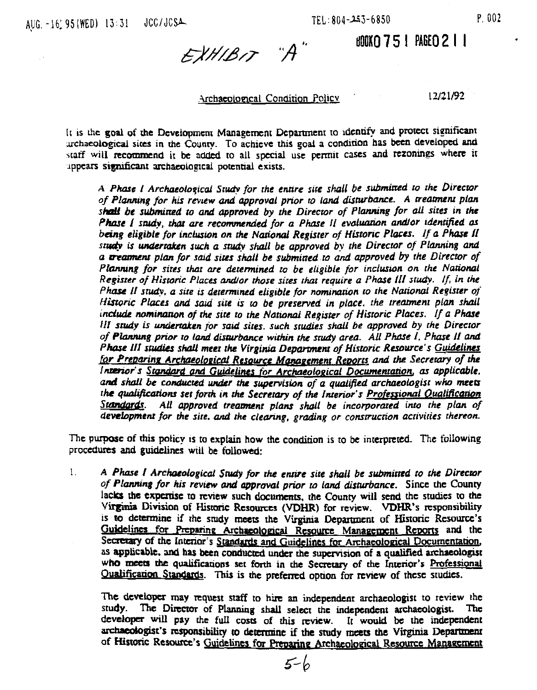### **BOOKO 751 PAGEO 211**

EXHIBIT "A"

### Archaeological Condition Policy

12/21/92

It is the goal of the Development Management Department to identify and protect significant archaeological sites in the County. To achieve this goal a condition has been developed and staff will recommend it be added to all special use permit cases and rezonings where it uppears significant archaeological potential exists.

A Phase I Archaeological Study for the entire site shall be submitted to the Director of Planning for his review and approval prior to land disturbance. A treatment plan shall be submitted to and approved by the Director of Planning for all sites in the Phase I study, that are recommended for a Phase II evaluation and/or identified as being eligible for inclusion on the National Register of Historic Places. If a Phase II study is undertaken such a study shall be approved by the Director of Planning and a creatment plan for said sites shall be submitted to and approved by the Director of Planning for sites that are determined to be eligible for inclusion on the National Register of Historic Places and/or those sites that require a Phase III study. If, in the Phase II study, a site is determined eligible for nomination to the National Register of Historic Places and said site is to be preserved in place. the treatment plan shall include nomination of the site to the National Register of Historic Places. If a Phase III study is undertaken for said sites, such studies shall be approved by the Director of Planning prior to land disturbance within the study area. All Phase I, Phase II and Phase III studies shall meet the Virginia Department of Historic Resource's Guidelines for Preparing Archaeological Resource Management Reports and the Secretary of the Interior's Standard and Guidelines for Archaeological Documentation, as applicable. and shall be conducted under the supervision of a qualified archaeologist who meets the qualifications set forth in the Secretary of the Interior's Professional Qualification S**ran**dards All approved treatment plans shall be incorporated into the plan of development for the site, and the clearing, grading or construction activities thereon.

The purpose of this policy is to explain how the condition is to be interpreted. The following procedures and guidelines will be followed:

 $\mathbf{1}$ A Phase I Archaeological Study for the entire site shall be submitted to the Director of Planning for his review and approval prior to land disturbance. Since the County lacks the expertise to review such documents, the County will send the studies to the Virginia Division of Historic Resources (VDHR) for review. VDHR's responsibility is to determine if the study meets the Virginia Department of Historic Resource's Guidelines for Preparing Archaeological Resource Management Reports and the Secretary of the Interior's Standards and Guidelines for Archaeological Documentation. as applicable, and has been conducted under the supervision of a qualified archaeologist who meets the qualifications set forth in the Secretary of the Interior's Professional Qualification Standards. This is the preferred option for review of these studies.

The developer may request staff to hire an independent archaeologist to review the The Director of Planning shall select the independent archaeologist. study. The developer will pay the full costs of this review. It would be the independent archaeologist's responsibility to determine if the study meets the Virginia Department of Historic Resource's Guidelines for Preparing Archaeological Resource Management

 $5-h$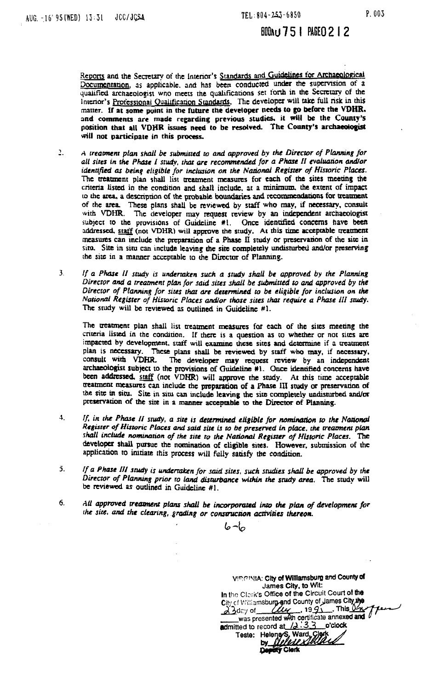### BOON # 75 | PAGEO 2 | 2

.<br>.<br>.<br>. Reports and the Secretary of the Interior's Standards and **Cuudelines for Archaeological** Documentation, as applicable, and has been conducted under the supervision of a qualified archaeologist who meets the qualifications set forth in the Secretary of the Interior's Professional Qualification Standards. The developer will take full risk in this matter. **I1** at some point in the future the developer **needs** to **p** before the **VDHR.**  and comments are made regarding previous studies, it will be the County's position that all VDHR issues need to be resolved. The County's archaeologist will not participate **in** this **process.** 

- 1. *A treatment plan shall be submitted to and approved by the Director of Planning for all sires in* **the Phase** *I study,* **rhar** *are recommended for a Pkc I1 cvduarion ador identified as being eligible for inclusion on the National Register of Historic Places.* The treatment plan shall list treatment measures for each of the sites meeting the criteria listed in the condition and shall include, at a minimum, the extent of impact to the area, a description of the probable boundaries and recommendations for treatment of the **arca** These plans shall **be** reviewed by staff who **may,** if necessary, consult with **VDHR**. The developer may request review by an independent archaeologist subject to the provisions of Guideline #1. Once identified concerns have been addressed, staff (not VDHR) will approve the study. At this time acceptable treatment measures can include the preparation of a Phase **II** study or preservation of the site in siru. Site in siru can include leaving the site completely undisturbed and/or preserving the site in a manner acceptable to the Director of Planning.
- 3. **If a Phase II study is undertaken such a study shall be approved by the Planning** *Director and a treament plan for faid sires* **shall** *be submirred* **w** *and approved by the*  Director of Planning for sites that are determined to be eligible for inclusion on the National Register of Historic Places and/or those sites that require a Phase III study. The study will be **reviewed is** outlined in Guideline #I.

The treatment plan shall list treatment measures for each of the sites meeting the criteria listed in the condition. If there is a question as to whether or not sites are **impacted** by **dewlopment. sraff will** examine **these** sites and **dctcnnine** if a **mtmmf**  plan is necessary. These plans shall be reviewed by staff who may, if necessary, consult with VDHR. The developer may request review by an independent archaeologist subject to the provisions of Guideline #1. Once identified concerns have **bccn addmsed. xff** (not **VDHR)** will **approve** the study. At **rhis time** accepthie uearmult measures can include **the preparation** of a **Phase III study** or pnsenradon **of**  the site in situ. Site in situ can include leaving the site completely undisturbed and/or pnzervation **of** Lhe sire in a *roaamr* **afccprable ro the Ditor of Planning.** 

- **3.** If, in the Phase II study, a site is determined eligible for nomination to the National *Register of* **Hbroric** *Places and* **said** *sire* **t3** *ro be preservcd* **in** *place, rhc rreaunetu plan*  shall include nomination of the site to the National Register of Historic Places. The developer shall pursue the nomination of eligible sites. However, submission of the application **10** initiare **this** process will fully satisfy the condition.
- 5. If a Phase III study is undertaken for said sites, such studies shall be approved by the *Direcror of Planning prior ro land &Nrbonce* **within** *rhc snrdy arca.* The study **hviU k miewcd as** oudined in Guideline #l.
- **6.** All approved treatment plans shall be incorporated into the plan of development for **rhe** *sire,* **and** *rhc clearing, grading or* **comrion** *mliviucs rkreon.*

 $6 - 6$ 

**VEGINIA: City of Williamsburg and County of James City, to Witt:** In the Clerk's Office of the Circuit Court of the City of Williamsburg and County of James City the  $\frac{\partial^2 3}{\partial x^2}$  of  $\frac{\partial u}{\partial y}$ , 1991. This  $\frac{\partial u}{\partial z}$ was presented with certificate annexed and<br>itted to record at 12:33 o'clock<br>Teste: Heleneys, Ward, Clerk<br>by **Hullall Stilland** admitted to record at /2:3.3 o'clock **KY Clerk**